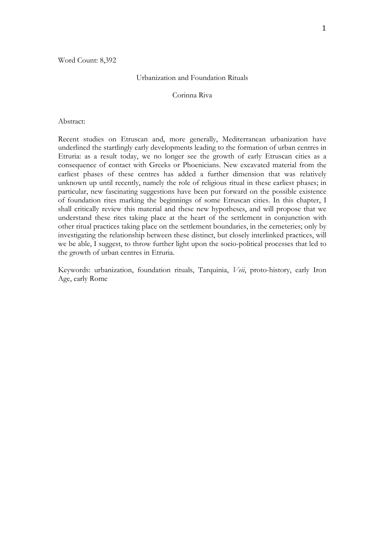#### Urbanization and Foundation Rituals

# Corinna Riva

#### Abstract:

Recent studies on Etruscan and, more generally, Mediterranean urbanization have underlined the startlingly early developments leading to the formation of urban centres in Etruria: as a result today, we no longer see the growth of early Etruscan cities as a consequence of contact with Greeks or Phoenicians. New excavated material from the earliest phases of these centres has added a further dimension that was relatively unknown up until recently, namely the role of religious ritual in these earliest phases; in particular, new fascinating suggestions have been put forward on the possible existence of foundation rites marking the beginnings of some Etruscan cities. In this chapter, I shall critically review this material and these new hypotheses, and will propose that we understand these rites taking place at the heart of the settlement in conjunction with other ritual practices taking place on the settlement boundaries, in the cemeteries; only by investigating the relationship between these distinct, but closely interlinked practices, will we be able, I suggest, to throw further light upon the socio-political processes that led to the growth of urban centres in Etruria.

Keywords: urbanization, foundation rituals, Tarquinia, *Veii*, proto-history, early Iron Age, early Rome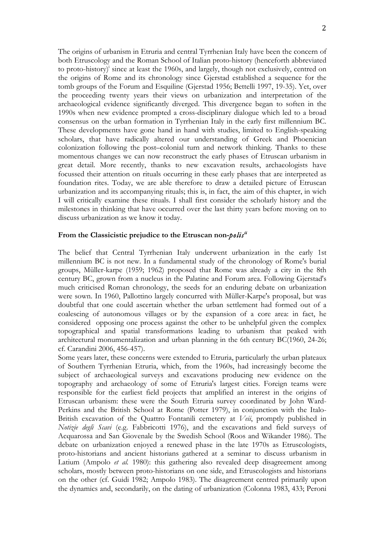The origins of urbanism in Etruria and central Tyrrhenian Italy have been the concern of both Etruscology and the Roman School of Italian proto-history (henceforth abbreviated to proto-history)<sup>i</sup> since at least the 1960s, and largely, though not exclusively, centred on the origins of Rome and its chronology since Gjerstad established a sequence for the tomb groups of the Forum and Esquiline (Gjerstad 1956; Bettelli 1997, 19-35). Yet, over the proceeding twenty years their views on urbanization and interpretation of the archaeological evidence significantly diverged. This divergence began to soften in the 1990s when new evidence prompted a cross-disciplinary dialogue which led to a broad consensus on the urban formation in Tyrrhenian Italy in the early first millennium BC. These developments have gone hand in hand with studies, limited to English-speaking scholars, that have radically altered our understanding of Greek and Phoenician colonization following the post–colonial turn and network thinking. Thanks to these momentous changes we can now reconstruct the early phases of Etruscan urbanism in great detail. More recently, thanks to new excavation results, archaeologists have focussed their attention on rituals occurring in these early phases that are interpreted as foundation rites. Today, we are able therefore to draw a detailed picture of Etruscan urbanization and its accompanying rituals; this is, in fact, the aim of this chapter, in wich I will critically examine these rituals. I shall first consider the scholarly history and the milestones in thinking that have occurred over the last thirty years before moving on to discuss urbanization as we know it today.

# **From the Classicistic prejudice to the Etruscan non-***polisii*

The belief that Central Tyrrhenian Italy underwent urbanization in the early 1st millennium BC is not new. In a fundamental study of the chronology of Rome's burial groups, Müller-karpe (1959; 1962) proposed that Rome was already a city in the 8th century BC, grown from a nucleus in the Palatine and Forum area. Following Gjerstad's much criticised Roman chronology, the seeds for an enduring debate on urbanization were sown. In 1960, Pallottino largely concurred with Müller-Karpe's proposal, but was doubtful that one could ascertain whether the urban settlement had formed out of a coalescing of autonomous villages or by the expansion of a core area: in fact, he considered opposing one process against the other to be unhelpful given the complex topographical and spatial transformations leading to urbanism that peaked with architectural monumentalization and urban planning in the 6th century BC(1960, 24-26; cf. Carandini 2006, 456-457).

Some years later, these concerns were extended to Etruria, particularly the urban plateaux of Southern Tyrrhenian Etruria, which, from the 1960s, had increasingly become the subject of archaeological surveys and excavations producing new evidence on the topography and archaeology of some of Etruria's largest cities. Foreign teams were responsible for the earliest field projects that amplified an interest in the origins of Etruscan urbanism: these were the South Etruria survey coordinated by John Ward-Perkins and the British School at Rome (Potter 1979), in conjunction with the Italo-British excavation of the Quattro Fontanili cemetery at *Veii*, promptly published in *Notizie degli Scavi* (e.g. Fabbricotti 1976), and the excavations and field surveys of Acquarossa and San Giovenale by the Swedish School (Roos and Wikander 1986). The debate on urbanization enjoyed a renewed phase in the late 1970s as Etruscologists, proto-historians and ancient historians gathered at a seminar to discuss urbanism in Latium (Ampolo *et al.* 1980): this gathering also revealed deep disagreement among scholars, mostly between proto-historians on one side, and Etruscologists and historians on the other (cf. Guidi 1982; Ampolo 1983). The disagreement centred primarily upon the dynamics and, secondarily, on the dating of urbanization (Colonna 1983, 433; Peroni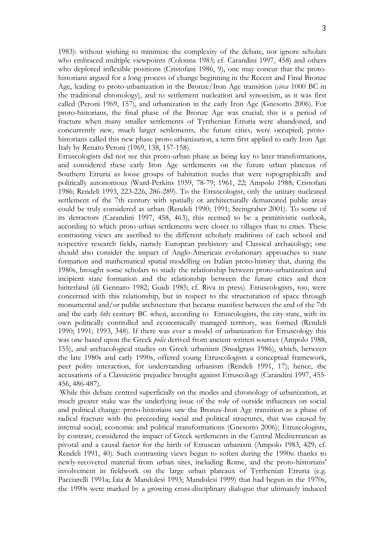1983): without wishing to minimize the complexity of the debate, nor ignore scholars who embraced multiple viewpoints (Colonna 1983; cf. Carandini 1997, 458) and others who deplored inflexible positions (Cristofani 1986, 9), one may concur that the protohistorians argued for a long process of change beginning in the Recent and Final Bronze Age, leading to proto-urbanization in the Bronze/Iron Age transition (*circa* 1000 BC in the traditional chronology), and to settlement nucleation and synoecism, as it was first called (Peroni 1969, 157), and urbanization in the early Iron Age (Gnesotto 2006). For proto-historians, the final phase of the Bronze Age was crucial; this is a period of fracture when many smaller settlements of Tyrrhenian Etruria were abandoned, and concurrently new, much larger settlements, the future cities, were occupied; protohistorians called this new phase proto-urbanization, a term first applied to early Iron Age Italy by Renato Peroni (1969, 138, 157-158).

Etruscologists did not see this proto-urban phase as being key to later transformations, and considered these early Iron Age settlements on the future urban plateaux of Southern Etruria as loose groups of habitation nuclei that were topographically and politically autonomous (Ward-Perkins 1959, 78-79; 1961, 22; Ampolo 1988; Cristofani 1986; Rendeli 1993, 223-226, 286-289). To the Etruscologist, only the unitary nucleated settlement of the 7th century with spatially or architecturally demarcated public areas could be truly considered as urban (Rendeli 1990; 1991; Steingraber 2001). To some of its detractors (Carandini 1997, 458, 463), this seemed to be a primitivistic outlook, according to which proto-urban settlements were closer to villages than to cities. These contrasting views are ascribed to the different scholarly traditions of each school and respective research fields, namely European prehistory and Classical archaeology; one should also consider the impact of Anglo-American evolutionary approaches to state formation and mathematical spatial modelling on Italian proto-history that, during the 1980s, brought some scholars to study the relationship between proto-urbanization and incipient state formation and the relationship between the future cities and their hinterland (di Gennaro 1982; Guidi 1985; cf. Riva in press). Etruscologists, too, were concerned with this relationship, but in respect to the structuration of space through monumental and/or public architecture that became manifest between the end of the 7th and the early 6th century BC when, according to Etruscologists, the city-state, with its own politically controlled and economically managed territory, was formed (Rendeli 1990; 1991; 1993, 348). If there was ever a model of urbanization for Etruscology this was one based upon the Greek *polis* derived from ancient written sources (Ampolo 1988, 155), and archaeological studies on Greek urbanism (Snodgrass 1986), which, between the late 1980s and early 1990s, offered young Etruscologists a conceptual framework, peer polity interaction, for understanding urbanism (Rendeli 1991, 17); hence, the accusations of a Classicistic prejudice brought against Etruscology (Carandini 1997, 455- 456, 486-487).

While this debate centred superficially on the modes and chronology of urbanization, at much greater stake was the underlying issue of the role of outside influences on social and political change: proto-historians saw the Bronze-Iron Age transition as a phase of radical fracture with the preceeding social and political structures, that was caused by internal social, economic and political transformations (Gnesotto 2006); Etruscologists, by contrast, considered the impact of Greek settlements in the Central Mediterranean as pivotal and a causal factor for the birth of Etruscan urbanism (Ampolo 1983, 429; cf. Rendeli 1991, 40). Such contrasting views began to soften during the 1990s: thanks to newly-recovered material from urban sites, including Rome, and the proto-historians' involvement in fieldwork on the large urban plateaux of Tyrrhenian Etruria (e.g. Pacciarelli 1991a; Iaia & Mandolesi 1993; Mandolesi 1999) that had begun in the 1970s, the 1990s were marked by a growing cross-disciplinary dialogue that ultimately induced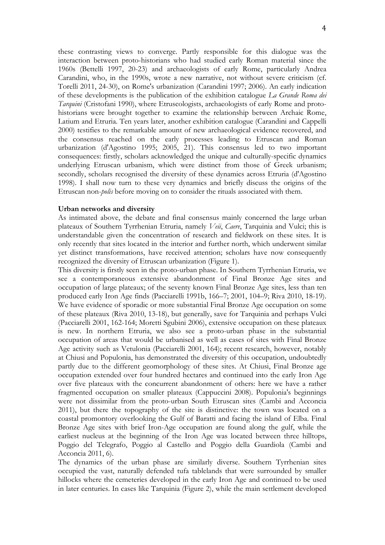these contrasting views to converge. Partly responsible for this dialogue was the interaction between proto-historians who had studied early Roman material since the 1960s (Bettelli 1997, 20-23) and archaeologists of early Rome, particularly Andrea Carandini, who, in the 1990s, wrote a new narrative, not without severe criticism (cf. Torelli 2011, 24-30), on Rome's urbanization (Carandini 1997; 2006). An early indication of these developments is the publication of the exhibition catalogue *La Grande Roma dei Tarquini* (Cristofani 1990), where Etruscologists, archaeologists of early Rome and protohistorians were brought together to examine the relationship between Archaic Rome, Latium and Etruria. Ten years later, another exhibition catalogue (Carandini and Cappelli 2000) testifies to the remarkable amount of new archaeological evidence recovered, and the consensus reached on the early processes leading to Etruscan and Roman urbanization (d'Agostino 1995; 2005, 21). This consensus led to two important consequences: firstly, scholars acknowledged the unique and culturally-specific dynamics underlying Etruscan urbanism, which were distinct from those of Greek urbanism; secondly, scholars recognised the diversity of these dynamics across Etruria (d'Agostino 1998). I shall now turn to these very dynamics and briefly discuss the origins of the Etruscan non-*polis* before moving on to consider the rituals associated with them.

## **Urban networks and diversity**

As intimated above, the debate and final consensus mainly concerned the large urban plateaux of Southern Tyrrhenian Etruria, namely *Veii*, *Caere*, Tarquinia and Vulci; this is understandable given the concentration of research and fieldwork on these sites. It is only recently that sites located in the interior and further north, which underwent similar yet distinct transformations, have received attention; scholars have now consequently recognized the diversity of Etruscan urbanization (Figure 1).

This diversity is firstly seen in the proto-urban phase. In Southern Tyrrhenian Etruria, we see a contemporaneous extensive abandonment of Final Bronze Age sites and occupation of large plateaux; of the seventy known Final Bronze Age sites, less than ten produced early Iron Age finds (Pacciarelli 1991b, 166–7; 2001, 104–9; Riva 2010, 18-19). We have evidence of sporadic or more substantial Final Bronze Age occupation on some of these plateaux (Riva 2010, 13-18), but generally, save for Tarquinia and perhaps Vulci (Pacciarelli 2001, 162-164; Moretti Sgubini 2006), extensive occupation on these plateaux is new. In northern Etruria, we also see a proto-urban phase in the substantial occupation of areas that would be urbanised as well as cases of sites with Final Bronze Age activity such as Vetulonia (Pacciarelli 2001, 164); recent research, however, notably at Chiusi and Populonia, has demonstrated the diversity of this occupation, undoubtedly partly due to the different geomorphology of these sites. At Chiusi, Final Bronze age occupation extended over four hundred hectares and continued into the early Iron Age over five plateaux with the concurrent abandonment of others: here we have a rather fragmented occupation on smaller plateaux (Cappuccini 2008). Populonia's beginnings were not dissimilar from the proto-urban South Etruscan sites (Cambi and Acconcia 2011), but there the topography of the site is distinctive: the town was located on a coastal promontory overlooking the Gulf of Baratti and facing the island of Elba. Final Bronze Age sites with brief Iron-Age occupation are found along the gulf, while the earliest nucleus at the beginning of the Iron Age was located between three hilltops, Poggio del Telegrafo, Poggio al Castello and Poggio della Guardiola (Cambi and Acconcia 2011, 6).

The dynamics of the urban phase are similarly diverse. Southern Tyrrhenian sites occupied the vast, naturally defended tufa tablelands that were surrounded by smaller hillocks where the cemeteries developed in the early Iron Age and continued to be used in later centuries. In cases like Tarquinia (Figure 2), while the main settlement developed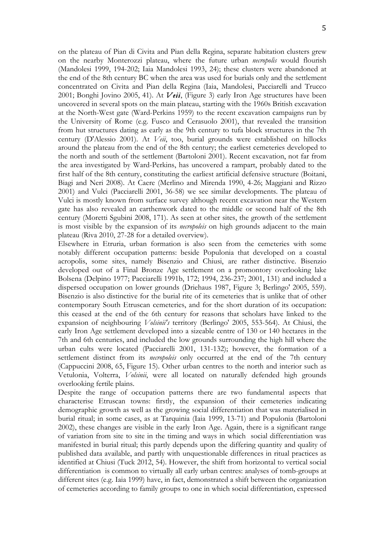on the plateau of Pian di Civita and Pian della Regina, separate habitation clusters grew on the nearby Monterozzi plateau, where the future urban *necropolis* would flourish (Mandolesi 1999, 194-202; Iaia Mandolesi 1993, 24); these clusters were abandoned at the end of the 8th century BC when the area was used for burials only and the settlement concentrated on Civita and Pian della Regina (Iaia, Mandolesi, Pacciarelli and Trucco 2001; Bonghi Jovino 2005, 41). At *Veii*, (Figure 3) early Iron Age structures have been uncovered in several spots on the main plateau, starting with the 1960s British excavation at the North-West gate (Ward-Perkins 1959) to the recent excavation campaigns run by the University of Rome (e.g. Fusco and Cerasuolo 2001), that revealed the transition from hut structures dating as early as the 9th century to tufa block structures in the 7th century (D'Alessio 2001). At *Veii*, too, burial grounds were established on hillocks around the plateau from the end of the 8th century; the earliest cemeteries developed to the north and south of the settlement (Bartoloni 2001). Recent excavation, not far from the area investigated by Ward-Perkins, has uncovered a rampart, probably dated to the first half of the 8th century, constituting the earliest artificial defensive structure (Boitani, Biagi and Neri 2008). At Caere (Merlino and Mirenda 1990, 4-26; Maggiani and Rizzo 2001) and Vulci (Pacciarelli 2001, 36-58) we see similar developments. The plateau of Vulci is mostly known from surface survey although recent excavation near the Western gate has also revealed an earthenwork dated to the middle or second half of the 8th century (Moretti Sgubini 2008, 171). As seen at other sites, the growth of the settlement is most visible by the expansion of its *necropoleis* on high grounds adjacent to the main plateau (Riva 2010, 27-28 for a detailed overview).

Elsewhere in Etruria, urban formation is also seen from the cemeteries with some notably different occupation patterns: beside Populonia that developed on a coastal acropolis, some sites, namely Bisenzio and Chiusi, are rather distinctive. Bisenzio developed out of a Final Bronze Age settlement on a promontory overlooking lake Bolsena (Delpino 1977; Pacciarelli 1991b, 172; 1994, 236-237; 2001, 131) and included a dispersed occupation on lower grounds (Driehaus 1987, Figure 3; Berlingo' 2005, 559). Bisenzio is also distinctive for the burial rite of its cemeteries that is unlike that of other contemporary South Etruscan cemeteries, and for the short duration of its occupation: this ceased at the end of the 6th century for reasons that scholars have linked to the expansion of neighbouring *Volsinii's* territory (Berlingo' 2005, 553-564). At Chiusi, the early Iron Age settlement developed into a sizeable centre of 130 or 140 hectares in the 7th and 6th centuries, and included the low grounds surrounding the high hill where the urban cults were located (Pacciarelli 2001, 131-132); however, the formation of a settlement distinct from its *necropoleis* only occurred at the end of the 7th century (Cappuccini 2008, 65, Figure 15). Other urban centres to the north and interior such as Vetulonia, Volterra, *Volsinii*, were all located on naturally defended high grounds overlooking fertile plains.

Despite the range of occupation patterns there are two fundamental aspects that characterise Etruscan towns: firstly, the expansion of their cemeteries indicating demographic growth as well as the growing social differentiation that was materialised in burial ritual; in some cases, as at Tarquinia (Iaia 1999, 13-71) and Populonia (Bartoloni 2002), these changes are visible in the early Iron Age. Again, there is a significant range of variation from site to site in the timing and ways in which social differentiation was manifested in burial ritual; this partly depends upon the differing quantity and quality of published data available, and partly with unquestionable differences in ritual practices as identified at Chiusi (Tuck 2012, 54). However, the shift from horizontal to vertical social differentiation is common to virtually all early urban centres: analyses of tomb-groups at different sites (e.g. Iaia 1999) have, in fact, demonstrated a shift between the organization of cemeteries according to family groups to one in which social differentiation, expressed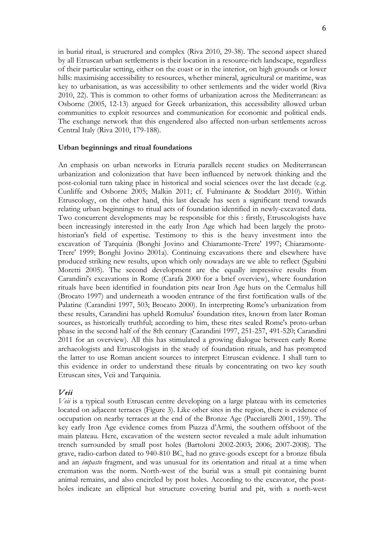in burial ritual, is structured and complex (Riva 2010, 29-38). The second aspect shared by all Etruscan urban settlements is their location in a resource-rich landscape, regardless of their particular setting, either on the coast or in the interior, on high grounds or lower hills: maximising accessibility to resources, whether mineral, agricultural or maritime, was key to urbanisation, as was accessibility to other settlements and the wider world (Riva 2010, 22). This is common to other forms of urbanization across the Mediterranean: as Osborne (2005, 12-13) argued for Greek urbanization, this accessibility allowed urban communities to exploit resources and communication for economic and political ends. The exchange network that this engendered also affected non-urban settlements across Central Italy (Riva 2010, 179-188).

#### **Urban beginnings and ritual foundations**

An emphasis on urban networks in Etruria parallels recent studies on Mediterranean urbanization and colonization that have been influenced by network thinking and the post-colonial turn taking place in historical and social sciences over the last decade (e.g. Cunliffe and Osborne 2005; Malkin 2011; cf. Fulminante & Stoddart 2010). Within Etruscology, on the other hand, this last decade has seen a significant trend towards relating urban beginnings to ritual acts of foundation identified in newly-excavated data. Two concurrent developments may be responsible for this : firstly, Etruscologists have been increasingly interested in the early Iron Age which had been largely the protohistorian's field of expertise. Testimony to this is the heavy investment into the excavation of Tarquinia (Bonghi Jovino and Chiaramonte-Trere' 1997; Chiaramonte-Trere' 1999; Bonghi Jovino 2001a). Continuing excavations there and elsewhere have produced striking new results, upon which only nowadays are we able to reflect (Sgubini Moretti 2005). The second development are the equally impressive results from Carandini's excavations in Rome (Carafa 2000 for a brief overview), where foundation rituals have been identified in foundation pits near Iron Age huts on the Cermalus hill (Brocato 1997) and underneath a wooden entrance of the first fortification walls of the Palatine (Carandini 1997, 503; Brocato 2000). In interpreting Rome's urbanization from these results, Carandini has upheld Romulus' foundation rites, known from later Roman sources, as historically truthful; according to him, these rites sealed Rome's proto-urban phase in the second half of the 8th century (Carandini 1997, 251-257, 491-520; Carandini 2011 for an overview). All this has stimulated a growing dialogue between early Rome archaeologists and Etruscologists in the study of foundation rituals, and has prompted the latter to use Roman ancient sources to interpret Etruscan evidence. I shall turn to this evidence in order to understand these rituals by concentrating on two key south Etruscan sites, Veii and Tarquinia.

## *Veii*

*Veii* is a typical south Etruscan centre developing on a large plateau with its cemeteries located on adjacent terraces (Figure 3). Like other sites in the region, there is evidence of occupation on nearby terraces at the end of the Bronze Age (Pacciarelli 2001, 159). The key early Iron Age evidence comes from Piazza d'Armi, the southern offshoot of the main plateau. Here, excavation of the western sector revealed a male adult inhumation trench surrounded by small post holes (Bartoloni 2002-2003; 2006; 2007-2008). The grave, radio-carbon dated to 940-810 BC, had no grave-goods except for a bronze fibula and an *impasto* fragment, and was unusual for its orientation and ritual at a time when cremation was the norm. North-west of the burial was a small pit containing burnt animal remains, and also encircled by post holes. According to the excavator, the postholes indicate an elliptical hut structure covering burial and pit, with a north-west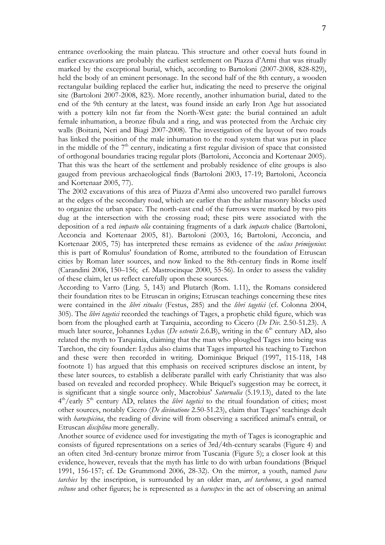entrance overlooking the main plateau. This structure and other coeval huts found in earlier excavations are probably the earliest settlement on Piazza d'Armi that was ritually marked by the exceptional burial, which, according to Bartoloni (2007-2008, 828-829), held the body of an eminent personage. In the second half of the 8th century, a wooden rectangular building replaced the earlier hut, indicating the need to preserve the original site (Bartoloni 2007-2008, 823). More recently, another inhumation burial, dated to the end of the 9th century at the latest, was found inside an early Iron Age hut associated with a pottery kiln not far from the North-West gate: the burial contained an adult female inhumation, a bronze fibula and a ring, and was protected from the Archaic city walls (Boitani, Neri and Biagi 2007-2008). The investigation of the layout of two roads has linked the position of the male inhumation to the road system that was put in place in the middle of the  $7<sup>th</sup>$  century, indicating a first regular division of space that consisted of orthogonal boundaries tracing regular plots (Bartoloni, Acconcia and Kortenaar 2005). That this was the heart of the settlement and probably residence of elite groups is also gauged from previous archaeological finds (Bartoloni 2003, 17-19; Bartoloni, Acconcia and Kortenaar 2005, 77).

The 2002 excavations of this area of Piazza d'Armi also uncovered two parallel furrows at the edges of the secondary road, which are earlier than the ashlar masonry blocks used to organize the urban space. The north-east end of the furrows were marked by two pits dug at the intersection with the crossing road; these pits were associated with the deposition of a red *impasto olla* containing fragments of a dark *impasto* chalice (Bartoloni, Acconcia and Kortenaar 2005, 81). Bartoloni (2003, 16; Bartoloni, Acconcia, and Kortenaar 2005, 75) has interpreted these remains as evidence of the *sulcus primigenius*: this is part of Romulus' foundation of Rome, attributed to the foundation of Etruscan cities by Roman later sources, and now linked to the 8th-century finds in Rome itself (Carandini 2006, 150–156; cf. Mastrocinque 2000, 55-56). In order to assess the validity of these claim, let us reflect carefully upon these sources.

According to Varro (Ling. 5, 143) and Plutarch (Rom. 1.11), the Romans considered their foundation rites to be Etruscan in origins; Etruscan teachings concerning these rites were contained in the *libri rituales* (Festus, 285) and the *libri tagetici* (cf. Colonna 2004, 305). The *libri tagetici* recorded the teachings of Tages, a prophetic child figure, which was born from the ploughed earth at Tarquinia, according to Cicero (*De Div.* 2.50-51.23). A much later source, Johannes Lydus (*De ostentis* 2.6.B), writing in the 6<sup>th</sup> century AD, also related the myth to Tarquinia, claiming that the man who ploughed Tages into being was Tarchon, the city founder: Lydus also claims that Tages imparted his teaching to Tarchon and these were then recorded in writing. Dominique Briquel (1997, 115-118, 148 footnote 1) has argued that this emphasis on received scriptures disclose an intent, by these later sources, to establish a deliberate parallel with early Christianity that was also based on revealed and recorded prophecy. While Briquel's suggestion may be correct, it is significant that a single source only, Macrobius' *Saturnalia* (5.19.13), dated to the late 4th/early 5th century AD, relates the *libri tagetici* to the ritual foundation of cities; most other sources, notably Cicero (*De divinatione* 2.50-51.23), claim that Tages' teachings dealt with *haruspicina*, the reading of divine will from observing a sacrificed animal's entrail, or Etruscan *disciplina* more generally.

Another source of evidence used for investigating the myth of Tages is iconographic and consists of figured representations on a series of 3rd/4th-century scarabs (Figure 4) and an often cited 3rd-century bronze mirror from Tuscania (Figure 5); a closer look at this evidence, however, reveals that the myth has little to do with urban foundations (Briquel 1991, 156-157; cf. De Grummond 2006, 28-32). On the mirror, a youth, named *pava tarchies* by the inscription, is surrounded by an older man, *avl tarchunus*, a god named *veltune* and other figures; he is represented as a *haruspex* in the act of observing an animal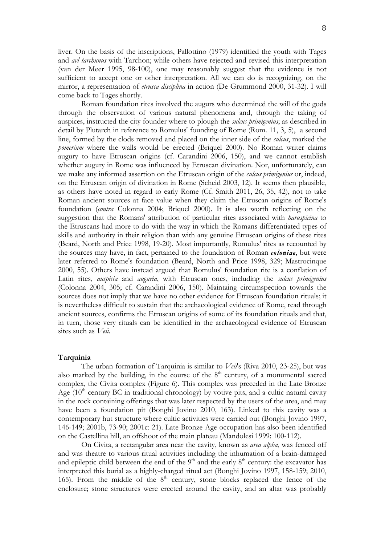liver. On the basis of the inscriptions, Pallottino (1979) identified the youth with Tages and *avl tarchunus* with Tarchon; while others have rejected and revised this interpretation (van der Meer 1995, 98-100), one may reasonably suggest that the evidence is not sufficient to accept one or other interpretation. All we can do is recognizing, on the mirror, a representation of *etrusca disciplina* in action (De Grummond 2000, 31-32). I will come back to Tages shortly.

Roman foundation rites involved the augurs who determined the will of the gods through the observation of various natural phenomena and, through the taking of auspices, instructed the city founder where to plough the *sulcus primigenius*; as described in detail by Plutarch in reference to Romulus' founding of Rome (Rom. 11, 3, 5), a second line, formed by the clods removed and placed on the inner side of the *sulcus*, marked the *pomerium* where the walls would be erected (Briquel 2000). No Roman writer claims augury to have Etruscan origins (cf. Carandini 2006, 150), and we cannot establish whether augury in Rome was influenced by Etruscan divination. Nor, unfortunately, can we make any informed assertion on the Etruscan origin of the *sulcus primigenius* or, indeed, on the Etruscan origin of divination in Rome (Scheid 2003, 12). It seems then plausible, as others have noted in regard to early Rome (Cf. Smith 2011, 26, 35, 42), not to take Roman ancient sources at face value when they claim the Etruscan origins of Rome's foundation (*contra* Colonna 2004; Briquel 2000). It is also worth reflecting on the suggestion that the Romans' attribution of particular rites associated with *haruspicina* to the Etruscans had more to do with the way in which the Romans differentiated types of skills and authority in their religion than with any genuine Etruscan origins of these rites (Beard, North and Price 1998, 19-20). Most importantly, Romulus' rites as recounted by the sources may have, in fact, pertained to the foundation of Roman *coloniae*, but were later referred to Rome's foundation (Beard, North and Price 1998, 329; Mastrocinque 2000, 55). Others have instead argued that Romulus' foundation rite is a conflation of Latin rites, *auspicia* and *auguria*, with Etruscan ones, including the *sulcus primigenius* (Colonna 2004, 305; cf. Carandini 2006, 150). Maintaing circumspection towards the sources does not imply that we have no other evidence for Etruscan foundation rituals; it is nevertheless difficult to sustain that the archaeological evidence of Rome, read through ancient sources, confirms the Etruscan origins of some of its foundation rituals and that, in turn, those very rituals can be identified in the archaeological evidence of Etruscan sites such as *Veii*.

## **Tarquinia**

The urban formation of Tarquinia is similar to *Veii*'s (Riva 2010, 23-25), but was also marked by the building, in the course of the  $8<sup>th</sup>$  century, of a monumental sacred complex, the Civita complex (Figure 6). This complex was preceded in the Late Bronze Age  $(10<sup>th</sup>$  century BC in traditional chronology) by votive pits, and a cultic natural cavity in the rock containing offerings that was later respected by the users of the area, and may have been a foundation pit (Bonghi Jovino 2010, 163). Linked to this cavity was a contemporary hut structure where cultic activities were carried out (Bonghi Jovino 1997, 146-149; 2001b, 73-90; 2001c: 21). Late Bronze Age occupation has also been identified on the Castellina hill, an offshoot of the main plateau (Mandolesi 1999: 100-112).

On Civita, a rectangular area near the cavity, known as *area alpha*, was fenced off and was theatre to various ritual activities including the inhumation of a brain-damaged and epileptic child between the end of the  $9<sup>th</sup>$  and the early  $8<sup>th</sup>$  century: the excavator has interpreted this burial as a highly-charged ritual act (Bonghi Jovino 1997, 158-159; 2010, 165). From the middle of the  $8<sup>th</sup>$  century, stone blocks replaced the fence of the enclosure; stone structures were erected around the cavity, and an altar was probably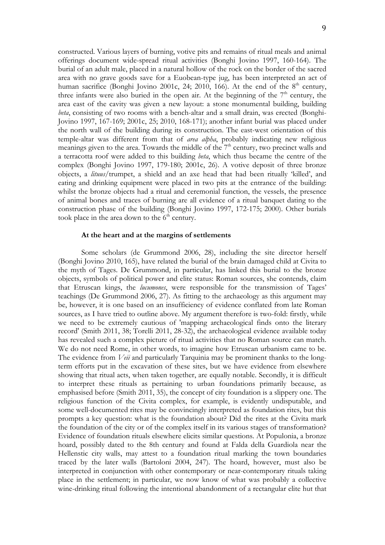constructed. Various layers of burning, votive pits and remains of ritual meals and animal offerings document wide-spread ritual activities (Bonghi Jovino 1997, 160-164). The burial of an adult male, placed in a natural hollow of the rock on the border of the sacred area with no grave goods save for a Euobean-type jug, has been interpreted an act of human sacrifice (Bonghi Jovino 2001c, 24; 2010, 166). At the end of the  $8<sup>th</sup>$  century, three infants were also buried in the open air. At the beginning of the  $7<sup>th</sup>$  century, the area east of the cavity was given a new layout: a stone monumental building, building *beta*, consisting of two rooms with a bench-altar and a small drain, was erected (Bonghi-Jovino 1997, 167-169; 2001c, 25; 2010, 168-171); another infant burial was placed under the north wall of the building during its construction. The east-west orientation of this temple-altar was different from that of *area alpha*, probably indicating new religious meanings given to the area. Towards the middle of the  $7<sup>th</sup>$  century, two precinct walls and a terracotta roof were added to this building *beta*, which thus became the centre of the complex (Bonghi Jovino 1997, 179-180; 2001c, 26). A votive deposit of three bronze objects, a *lituus*/trumpet, a shield and an axe head that had been ritually 'killed', and eating and drinking equipment were placed in two pits at the entrance of the building: whilst the bronze objects had a ritual and ceremonial function, the vessels, the presence of animal bones and traces of burning are all evidence of a ritual banquet dating to the construction phase of the building (Bonghi Jovino 1997, 172-175; 2000). Other burials took place in the area down to the  $6<sup>th</sup>$  century.

#### **At the heart and at the margins of settlements**

Some scholars (de Grummond 2006, 28), including the site director herself (Bonghi Jovino 2010, 165), have related the burial of the brain damaged child at Civita to the myth of Tages. De Grummond, in particular, has linked this burial to the bronze objects, symbols of political power and elite status: Roman sources, she contends, claim that Etruscan kings, the *lucumones*, were responsible for the transmission of Tages' teachings (De Grummond 2006, 27). As fitting to the archaeology as this argument may be, however, it is one based on an insufficiency of evidence conflated from late Roman sources, as I have tried to outline above. My argument therefore is two-fold: firstly, while we need to be extremely cautious of 'mapping archaeological finds onto the literary record' (Smith 2011, 38; Torelli 2011, 28-32), the archaeological evidence available today has revealed such a complex picture of ritual activities that no Roman source can match. We do not need Rome, in other words, to imagine how Etruscan urbanism came to be. The evidence from *Veii* and particularly Tarquinia may be prominent thanks to the longterm efforts put in the excavation of these sites, but we have evidence from elsewhere showing that ritual acts, when taken together, are equally notable. Secondly, it is difficult to interpret these rituals as pertaining to urban foundations primarily because, as emphasised before (Smith 2011, 35), the concept of city foundation is a slippery one. The religious function of the Civita complex, for example, is evidently undisputable, and some well-documented rites may be convincingly interpreted as foundation rites, but this prompts a key question: what is the foundation about? Did the rites at the Civita mark the foundation of the city or of the complex itself in its various stages of transformation? Evidence of foundation rituals elsewhere elicits similar questions. At Populonia, a bronze hoard, possibly dated to the 8th century and found at Falda della Guardiola near the Hellenstic city walls, may attest to a foundation ritual marking the town boundaries traced by the later walls (Bartoloni 2004, 247). The hoard, however, must also be interpreted in conjunction with other contemporary or near-contemporary rituals taking place in the settlement; in particular, we now know of what was probably a collective wine-drinking ritual following the intentional abandonment of a rectangular elite hut that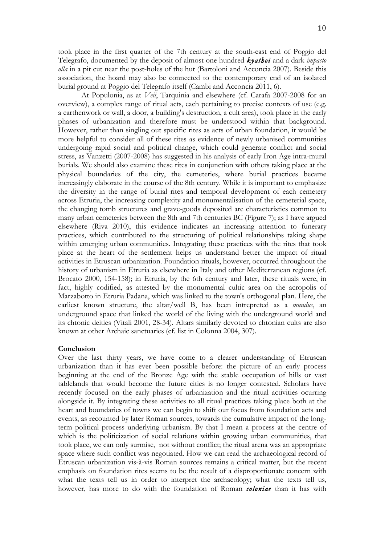At Populonia, as at *Veii*, Tarquinia and elsewhere (cf. Carafa 2007-2008 for an overview), a complex range of ritual acts, each pertaining to precise contexts of use (e.g. a earthenwork or wall, a door, a building's destruction, a cult area), took place in the early phases of urbanization and therefore must be understood within that background. However, rather than singling out specific rites as acts of urban foundation, it would be more helpful to consider all of these rites as evidence of newly urbanised communities undergoing rapid social and political change, which could generate conflict and social stress, as Vanzetti (2007-2008) has suggested in his analysis of early Iron Age intra-mural burials. We should also examine these rites in conjunction with others taking place at the physical boundaries of the city, the cemeteries, where burial practices became increasingly elaborate in the course of the 8th century. While it is important to emphasize the diversity in the range of burial rites and temporal development of each cemetery across Etruria, the increasing complexity and monumentalisation of the cemeterial space, the changing tomb structures and grave-goods deposited are characteristics common to many urban cemeteries between the 8th and 7th centuries BC (Figure 7); as I have argued elsewhere (Riva 2010), this evidence indicates an increasing attention to funerary practices, which contributed to the structuring of political relationships taking shape within emerging urban communities. Integrating these practices with the rites that took place at the heart of the settlement helps us understand better the impact of ritual activities in Etruscan urbanization. Foundation rituals, however, occurred throughout the history of urbanism in Etruria as elsewhere in Italy and other Mediterranean regions (cf. Brocato 2000, 154-158); in Etruria, by the 6th century and later, these rituals were, in fact, highly codified, as attested by the monumental cultic area on the acropolis of Marzabotto in Etruria Padana, which was linked to the town's orthogonal plan. Here, the earliest known structure, the altar/well B, has been intrepreted as a *mundus*, an underground space that linked the world of the living with the underground world and its chtonic deities (Vitali 2001, 28-34). Altars similarly devoted to chtonian cults are also known at other Archaic sanctuaries (cf. list in Colonna 2004, 307).

## **Conclusion**

Over the last thirty years, we have come to a clearer understanding of Etruscan urbanization than it has ever been possible before: the picture of an early process beginning at the end of the Bronze Age with the stable occupation of hills or vast tablelands that would become the future cities is no longer contested. Scholars have recently focused on the early phases of urbanization and the ritual activities ocurring alongside it. By integrating these activities to all ritual practices taking place both at the heart and boundaries of towns we can begin to shift our focus from foundation acts and events, as recounted by later Roman sources, towards the cumulative impact of the longterm political process underlying urbanism. By that I mean a process at the centre of which is the politicization of social relations within growing urban communities, that took place, we can only surmise, not without conflict; the ritual arena was an appropriate space where such conflict was negotiated. How we can read the archaeological record of Etruscan urbanization vis-à-vis Roman sources remains a critical matter, but the recent emphasis on foundation rites seems to be the result of a disproportionate concern with what the texts tell us in order to interpret the archaeology; what the texts tell us, however, has more to do with the foundation of Roman *coloniae* than it has with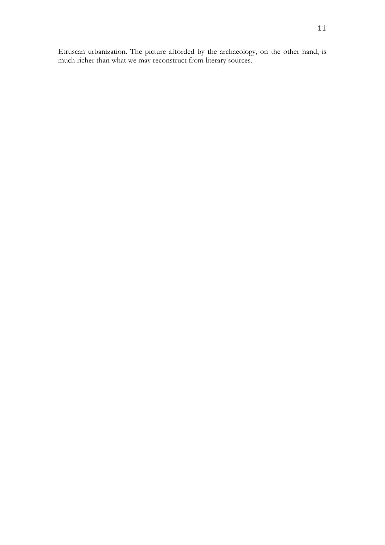Etruscan urbanization. The picture afforded by the archaeology, on the other hand, is much richer than what we may reconstruct from literary sources.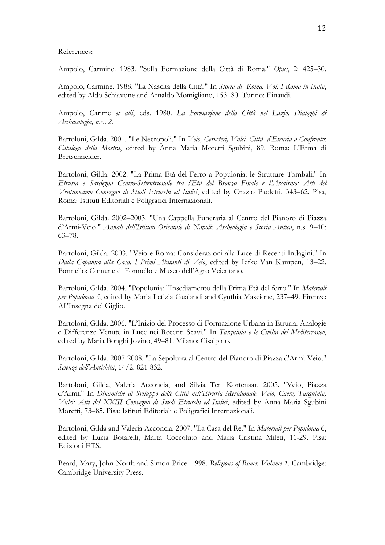## References:

Ampolo, Carmine. 1983. "Sulla Formazione della Città di Roma." *Opus*, 2: 425–30.

Ampolo, Carmine. 1988. "La Nascita della Città." In *Storia di Roma. Vol. I Roma in Italia*, edited by Aldo Schiavone and Arnaldo Momigliano, 153–80. Torino: Einaudi.

Ampolo, Carime *et alii*, eds. 1980. *La Formazione della Città nel Lazio. Dialoghi di Archaeologia, n.s., 2*.

Bartoloni, Gilda. 2001. "Le Necropoli." In *Veio, Cerveteri, Vulci. Città d'Etruria a Confronto*: *Catalogo della Mostra*, edited by Anna Maria Moretti Sgubini, 89. Roma: L'Erma di Bretschneider.

Bartoloni, Gilda. 2002. "La Prima Età del Ferro a Populonia: le Strutture Tombali." In *Etruria e Sardegna Centro-Settentrionale tra l'Età del Bronzo Finale e l'Arcaismo: Atti del Ventunesimo Convegno di Studi Etruschi ed Italici*, edited by Orazio Paoletti, 343–62. Pisa, Roma: Istituti Editoriali e Poligrafici Internazionali.

Bartoloni, Gilda. 2002–2003. "Una Cappella Funeraria al Centro del Pianoro di Piazza d'Armi-Veio." *Annali dell'Istituto Orientale di Napoli: Archeologia e Storia Antica*, n.s. 9–10: 63–78.

Bartoloni, Gilda. 2003. "Veio e Roma: Considerazioni alla Luce di Recenti Indagini." In *Dalla Capanna alla Casa. I Primi Abitanti di Veio*, edited by Iefke Van Kampen, 13–22. Formello: Comune di Formello e Museo dell'Agro Veientano.

Bartoloni, Gilda. 2004. "Populonia: l'Insediamento della Prima Età del ferro." In *Materiali per Populonia 3*, edited by Maria Letizia Gualandi and Cynthia Mascione, 237–49. Firenze: All'Insegna del Giglio.

Bartoloni, Gilda. 2006. "L'Inizio del Processo di Formazione Urbana in Etruria. Analogie e Differenze Venute in Luce nei Recenti Scavi." In *Tarquinia e le Civiltà del Mediterraneo*, edited by Maria Bonghi Jovino, 49–81. Milano: Cisalpino.

Bartoloni, Gilda. 2007-2008. "La Sepoltura al Centro del Pianoro di Piazza d'Armi-Veio." *Scienze dell'Antichità*, 14/2: 821-832.

Bartoloni, Gilda, Valeria Acconcia, and Silvia Ten Kortenaar. 2005. "Veio, Piazza d'Armi." In *Dinamiche di Sviluppo delle Città nell'Etruria Meridionale. Veio, Caere, Tarquinia, Vulci: Atti del XXIII Convegno di Studi Etruschi ed Italici*, edited by Anna Maria Sgubini Moretti, 73–85. Pisa: Istituti Editoriali e Poligrafici Internazionali.

Bartoloni, Gilda and Valeria Acconcia. 2007. "La Casa del Re." In *Materiali per Populonia* 6, edited by Lucia Botarelli, Marta Coccoluto and Maria Cristina Mileti, 11-29. Pisa: Edizioni ETS.

Beard, Mary, John North and Simon Price. 1998. *Religions of Rome*: *Volume 1*. Cambridge: Cambridge University Press.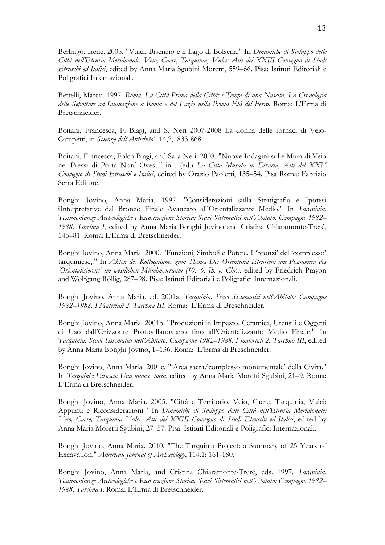Berlingó, Irene. 2005. "Vulci, Bisenzio e il Lago di Bolsena." In *Dinamiche di Sviluppo delle Città nell'Etruria Meridionale. Veio, Caere, Tarquinia, Vulci: Atti del XXIII Convegno di Studi Etruschi ed Italici*, edited by Anna Maria Sgubini Moretti, 559–66. Pisa: Istituti Editoriali e Poligrafici Internazionali.

Bettelli, Marco. 1997. *Roma. La Città Prima della Città: i Tempi di una Nascita. La Cronologia delle Sepolture ad Inumazione a Roma e del Lazio nella Prima Età del Ferro*. Roma: L'Erma di Bretschneider.

Boitani, Francesca, F. Biagi, and S. Neri 2007-2008 La donna delle fornaci di Veio-Campetti, in *Scienze dell'Antichita'* 14,2, 833-868

Boitani, Francesca, Folco Biagi, and Sara Neri. 2008. "Nuove Indagini sulle Mura di Veio nei Pressi di Porta Nord-Ovest." in . (ed.) *La Città Murata in Etruria, Atti del XXV Convegno di Studi Etruschi e Italici*, edited by Orazio Paoletti, 135–54. Pisa Roma: Fabrizio Serra Editore.

Bonghi Jovino, Anna Maria. 1997. "Considerazioni sulla Stratigrafia e Ipotesi iInterpretative dal Bronzo Finale Avanzato all'Orientalizzante Medio." In *Tarquinia. Testimonianze Archeologiche e Ricostruzione Storica: Scavi Sistematici nell'Abitato. Campagne 1982– 1988. Tarchna I*, edited by Anna Maria Bonghi Jovino and Cristina Chiaramonte-Treré, 145–81. Roma: L'Erma di Bretschneider.

Bonghi Jovino, Anna Maria. 2000. "Funzioni, Simboli e Potere. I 'bronzi' del 'complesso' tarquiniese,." In *Akten des Kolloquiums zum Thema Der Orientund Etrurien: um Phanomen des 'Orientalisierens' im westlichen Mittelmeerraum (10.–6. Jh. v. Chr.)*, edited by Friedrich Prayon and Wolfgang Röllig, 287–98. Pisa: Istituti Editoriali e Poligrafici Internazionali.

Bonghi Jovino. Anna Maria, ed. 2001a. *Tarquinia. Scavi Sistematici nell'Abitato: Campagne 1982–1988. I Materiali 2. Tarchna III*. Roma: L'Erma di Breschneider.

Bonghi Jovino, Anna Maria. 2001b. "Produzioni in Impasto. Ceramica, Utensili e Oggetti di Uso dall'Orizzonte Protovillanoviano fino all'Orientalizzante Medio Finale." In *Tarquinia. Scavi Sistematici nell'Abitato: Campagne 1982–1988. I materiali 2. Tarchna III*, edited by Anna Maria Bonghi Jovino, 1–136. Roma: L'Erma di Breschneider.

Bonghi Jovino, Anna Maria. 2001c. "'Area sacra/complesso monumentale' della Civita." In *Tarquinia Etrusca: Una nuova storia*, edited by Anna Maria Moretti Sgubini, 21–9. Roma: L'Erma di Bretschneider.

Bonghi Jovino, Anna Maria. 2005. "Città e Territorio. Veio, Caere, Tarquinia, Vulci: Appunti e Riconsiderazioni." In *Dinamiche di Sviluppo delle Città nell'Etruria Meridionale: Veio, Caere, Tarquinia Vulci. Atti del XXIII Convegno di Studi Etruschi ed Italici*, edited by Anna Maria Moretti Sgubini, 27–57. Pisa: Istituti Editoriali e Poligrafici Internazionali.

Bonghi Jovino, Anna Maria. 2010. "The Tarquinia Project: a Summary of 25 Years of Excavation." *American Journal of Archaeology*, 114.1: 161-180.

Bonghi Jovino, Anna Maria, and Cristina Chiaramonte-Treré, eds. 1997. *Tarquinia. Testimonianze Archeologiche e Ricostruzione Storica. Scavi Sistematici nell'Abitato: Campagne 1982– 1988. Tarchna I*. Roma: L'Erma di Bretschneider.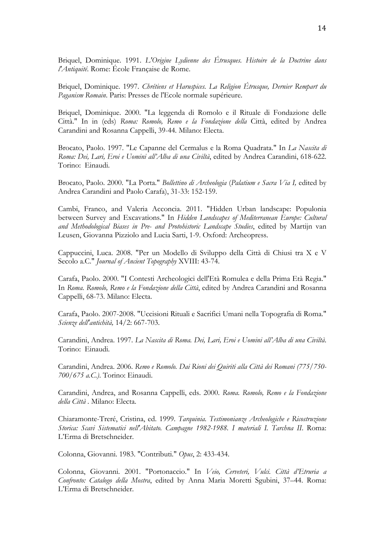Briquel, Dominique. 1991. *L'Origine Lydienne des Étrusques. Histoire de la Doctrine dans l'Antiquité*. Rome: École Française de Rome.

Briquel, Dominique. 1997. *Chrétiens et Haruspices. La Religion Étrusque, Dernier Rempart du Paganism Romain*. Paris: Presses de l'Ecole normale supérieure.

Briquel, Dominique. 2000. "La leggenda di Romolo e il Rituale di Fondazione delle Città." In in (eds) *Roma: Romolo, Remo e la Fondazione della* Città, edited by Andrea Carandini and Rosanna Cappelli, 39-44*.* Milano: Electa.

Brocato, Paolo. 1997. "Le Capanne del Cermalus e la Roma Quadrata." In *La Nascita di Roma: Dei, Lari, Eroi e Uomini all'Alba di una Civiltà*, edited by Andrea Carandini, 618-622. Torino: Einaudi.

Brocato, Paolo. 2000. "La Porta." *Bollettino di Archeologia* (*Palatium e Sacra Via I,* edited by Andrea Carandini and Paolo Carafa), 31-33: 152-159.

Cambi, Franco, and Valeria Acconcia. 2011. "Hidden Urban landscape: Populonia between Survey and Excavations." In *Hidden Landscapes of Mediterranean Europe: Cultural and Methodological Biases in Pre- and Protohistoric Landscape Studies*, edited by Martijn van Leusen, Giovanna Pizziolo and Lucia Sarti, 1-9. Oxford: Archeopress.

Cappuccini, Luca. 2008. "Per un Modello di Sviluppo della Città di Chiusi tra X e V Secolo a.C." *Journal of Ancient Topography* XVIII: 43-74.

Carafa, Paolo. 2000. "I Contesti Archeologici dell'Età Romulea e della Prima Età Regia." In *Roma. Romolo, Remo e la Fondazione della Città*, edited by Andrea Carandini and Rosanna Cappelli, 68-73. Milano: Electa.

Carafa, Paolo. 2007-2008. "Uccisioni Rituali e Sacrifici Umani nella Topografia di Roma." *Scienze dell'antichità,* 14/2: 667-703.

Carandini, Andrea. 1997. *La Nascita di Roma. Dei, Lari, Eroi e Uomini all'Alba di una Civiltà*. Torino: Einaudi.

Carandini, Andrea. 2006. *Remo e Romolo. Dai Rioni dei Quiriti alla Città dei Romani (775/750- 700/675 a.C.)*. Torino: Einaudi.

Carandini, Andrea, and Rosanna Cappelli, eds. 2000. *Roma. Romolo, Remo e la Fondazione della Città .* Milano: Electa.

Chiaramonte-Treré, Cristina, ed. 1999. *Tarquinia. Testimonianze Archeologiche e Ricostruzione Storica: Scavi Sistematici nell'Abitato. Campagne 1982-1988. I materiali I. Tarchna II*. Roma: L'Erma di Bretschneider.

Colonna, Giovanni. 1983. "Contributi." *Opus*, 2: 433-434.

Colonna, Giovanni. 2001. "Portonaccio." In *Veio, Cerveteri, Vulci. Città d'Etruria a Confronto: Catalogo della Mostra*, edited by Anna Maria Moretti Sgubini, 37–44. Roma: L'Erma di Bretschneider.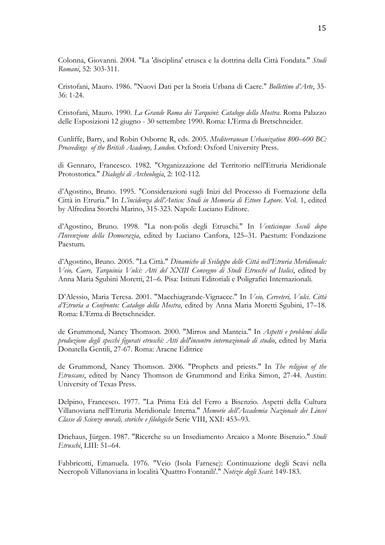Colonna, Giovanni. 2004. "La 'disciplina' etrusca e la dottrina della Città Fondata." *Studi Romani*, 52: 303-311.

Cristofani, Mauro. 1986. "Nuovi Dati per la Storia Urbana di Caere." *Bollettino d'Arte*, 35- 36: 1-24.

Cristofani, Mauro. 1990. *La Grande Roma dei Tarquini*: *Catalogo della Mostra*. Roma Palazzo delle Esposizioni 12 giugno - 30 settembre 1990. Roma: L'Erma di Bretschneider.

Cunliffe, Barry, and Robin Osborne R, eds. 2005. *Mediterranean Urbanization 800–600 BC: Proceedings of the British Academy, London*. Oxford: Oxford University Press.

di Gennaro, Francesco. 1982. "Organizzazione del Territorio nell'Etruria Meridionale Protostorica." *Dialoghi di Archeologia*, 2: 102-112.

d'Agostino, Bruno. 1995. "Considerazioni sugli Inizi del Processo di Formazione della Città in Etruria." In *L'incidenza dell'Antico: Studi in Memoria di Ettore Lepore*. Vol. 1, edited by Alfredina Storchi Marino, 315-323. Napoli: Luciano Editore.

d'Agostino, Bruno. 1998. "La non-polis degli Etruschi." In *Venticinque Secoli dopo l'Invenzione della Democrazia*, edited by Luciano Canfora, 125–31. Paestum: Fondazione Paestum.

d'Agostino, Bruno. 2005. "La Città." *Dinamiche di Sviluppo delle Città nell'Etruria Meridionale: Veio, Caere, Tarquinia Vulci: Atti del XXIII Convegno di Studi Etruschi ed Italici*, edited by Anna Maria Sgubini Moretti, 21–6. Pisa: Istituti Editoriali e Poligrafici Internazionali.

D'Alessio, Maria Teresa. 2001. "Macchiagrande-Vignacce." In *Veio, Cerveteri, Vulci. Città d'Etruria a Confronto: Catalogo della Mostra*, edited by Anna Maria Moretti Sgubini, 17–18. Roma: L'Erma di Bretschneider.

de Grummond, Nancy Thomson. 2000. "Mirros and Manteia." In *Aspetti e problemi della produzione degli specchi figurati etruschi: Atti dell'incontro internazionale di studio*, edited by Maria Donatella Gentili, 27-67. Roma: Aracne Editrice

de Grummond, Nancy Thomson. 2006. "Prophets and priests." In *The religion of the Etruscans*, edited by Nancy Thomson de Grummond and Erika Simon, 27-44. Austin: University of Texas Press.

Delpino, Francesco. 1977. "La Prima Età del Ferro a Bisenzio. Aspetti della Cultura Villanoviana nell'Etruria Meridionale Interna." *Memorie dell'Accademia Nazionale dei Lincei Classe di Scienze morali, storiche e filologiche* Serie VIII, XXI: 453–93.

Driehaus, Jürgen. 1987. "Ricerche su un Insediamento Arcaico a Monte Bisenzio." *Studi Etruschi*, LIII: 51–64.

Fabbricotti, Emanuela. 1976. "Veio (Isola Farnese): Continuazione degli Scavi nella Necropoli Villanoviana in località 'Quattro Fontanili'." *Notizie degli Scavi*: 149-183.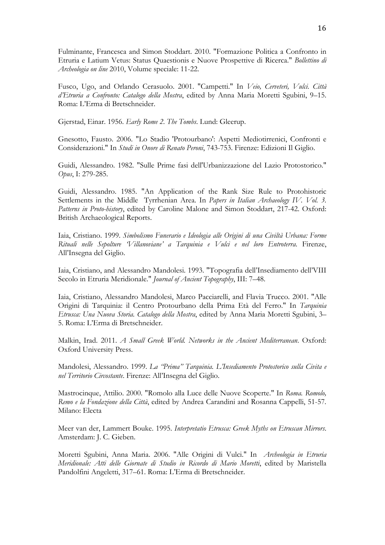Fulminante, Francesca and Simon Stoddart. 2010. "Formazione Politica a Confronto in Etruria e Latium Vetus: Status Quaestionis e Nuove Prospettive di Ricerca." *Bollettino di Archeologia on line* 2010, Volume speciale: 11-22.

Fusco, Ugo, and Orlando Cerasuolo. 2001. "Campetti." In *Veio, Cerveteri, Vulci. Città d'Etruria a Confronto: Catalogo della Mostra*, edited by Anna Maria Moretti Sgubini, 9–15. Roma: L'Erma di Bretschneider.

Gjerstad, Einar. 1956. *Early Rome 2*. *The Tombs*. Lund: Gleerup.

Gnesotto, Fausto. 2006. "Lo Stadio 'Protourbano': Aspetti Mediotirrenici, Confronti e Considerazioni." In *Studi in Onore di Renato Peroni*, 743-753. Firenze: Edizioni Il Giglio.

Guidi, Alessandro. 1982. "Sulle Prime fasi dell'Urbanizzazione del Lazio Protostorico." *Opus*, I: 279-285.

Guidi, Alessandro. 1985. "An Application of the Rank Size Rule to Protohistoric Settlements in the Middle Tyrrhenian Area. In *Papers in Italian Archaeology IV. Vol. 3. Patterns in Proto-history*, edited by Caroline Malone and Simon Stoddart, 217-42. Oxford: British Archaeological Reports.

Iaia, Cristiano. 1999. *Simbolismo Funerario e Ideologia alle Origini di una Civiltà Urbana: Forme Rituali nelle Sepolture 'Villanoviane' a Tarquinia e Vulci e nel loro Entroterra*. Firenze, All'Insegna del Giglio.

Iaia, Cristiano, and Alessandro Mandolesi. 1993. "Topografia dell'Insediamento dell'VIII Secolo in Etruria Meridionale." *Journal of Ancient Topography*, III: 7–48.

Iaia, Cristiano, Alessandro Mandolesi, Marco Pacciarelli, and Flavia Trucco. 2001. "Alle Origini di Tarquinia: il Centro Protourbano della Prima Età del Ferro." In *Tarquinia Etrusca: Una Nuova Storia. Catalogo della Mostra*, edited by Anna Maria Moretti Sgubini, 3– 5. Roma: L'Erma di Bretschneider.

Malkin, Irad. 2011. *A Small Greek World. Networks in the Ancient Mediterranean*. Oxford: Oxford University Press.

Mandolesi, Alessandro. 1999. *La "Prima" Tarquinia. L'Insediamento Protostorico sulla Civita e nel Territorio Circostante*. Firenze: All'Insegna del Giglio.

Mastrocinque, Attilio. 2000. "Romolo alla Luce delle Nuove Scoperte." In *Roma. Romolo, Remo e la Fondazione della Città*, edited by Andrea Carandini and Rosanna Cappelli, 51-57*.*  Milano: Electa

Meer van der, Lammert Bouke. 1995. *Interpretatio Etrusca: Greek Myths on Etruscan Mirrors*. Amsterdam: J. C. Gieben.

Moretti Sgubini, Anna Maria. 2006. "Alle Origini di Vulci." In *Archeologia in Etruria Meridionale: Atti delle Giornate di Studio in Ricordo di Mario Moretti*, edited by Maristella Pandolfini Angeletti, 317–61. Roma: L'Erma di Bretschneider.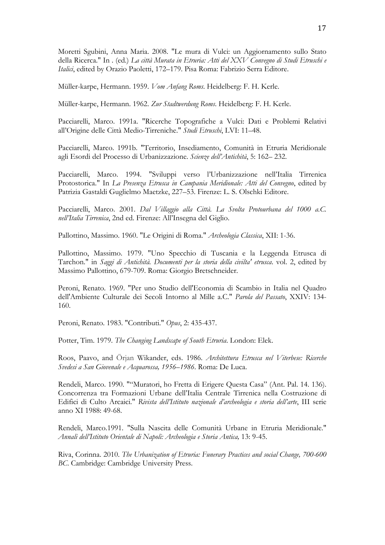Moretti Sgubini, Anna Maria. 2008. "Le mura di Vulci: un Aggiornamento sullo Stato della Ricerca." In . (ed.) *La città Murata in Etruria: Atti del XXV Convegno di Studi Etruschi e Italici*, edited by Orazio Paoletti, 172–179. Pisa Roma: Fabrizio Serra Editore.

Müller-karpe, Hermann. 1959. *Vom Anfang Roms*. Heidelberg: F. H. Kerle.

Müller-karpe, Hermann. 1962. *Zur Stadtwerdung Roms*. Heidelberg: F. H. Kerle.

Pacciarelli, Marco. 1991a. "Ricerche Topografiche a Vulci: Dati e Problemi Relativi all'Origine delle Città Medio-Tirreniche." *Studi Etruschi*, LVI: 11–48.

Pacciarelli, Marco. 1991b. "Territorio, Insediamento, Comunità in Etruria Meridionale agli Esordi del Processo di Urbanizzazione. *Scienze dell'Antichità*, 5: 162– 232.

Pacciarelli, Marco. 1994. "Sviluppi verso l'Urbanizzazione nell'Italia Tirrenica Protostorica." In *La Presenza Etrusca in Campania Meridionale: Atti del Convegno*, edited by Patrizia Gastaldi Guglielmo Maetzke, 227–53. Firenze: L. S. Olschki Editore.

Pacciarelli, Marco. 2001. *Dal Villaggio alla Città. La Svolta Protourbana del 1000 a.C. nell'Italia Tirrenica*, 2nd ed. Firenze: All'Insegna del Giglio.

Pallottino, Massimo. 1960. "Le Origini di Roma." *Archeologia Classica*, XII: 1-36.

Pallottino, Massimo. 1979. "Uno Specchio di Tuscania e la Leggenda Etrusca di Tarchon." in *Saggi di Antichità. Documenti per la storia della civilta' etrusca*. vol. 2, edited by Massimo Pallottino, 679-709. Roma: Giorgio Bretschneider.

Peroni, Renato. 1969. "Per uno Studio dell'Economia di Scambio in Italia nel Quadro dell'Ambiente Culturale dei Secoli Intorno al Mille a.C." *Parola del Passato*, XXIV: 134- 160.

Peroni, Renato. 1983. "Contributi." *Opus*, 2: 435-437.

Potter, Tim. 1979. *The Changing Landscape of South Etruria*. London: Elek.

Roos, Paavo, and Örjan Wikander, eds. 1986. *Architettura Etrusca nel Viterbese: Ricerche Svedesi a San Giovenale e Acquarossa, 1956–1986*. Roma: De Luca.

Rendeli, Marco. 1990. ""Muratori, ho Fretta di Erigere Questa Casa" (Ant. Pal. 14. 136). Concorrenza tra Formazioni Urbane dell'Italia Centrale Tirrenica nella Costruzione di Edifici di Culto Arcaici." *Rivista dell'Istituto nazionale d'archeologia e storia dell'arte*, III serie anno XI 1988: 49-68.

Rendeli, Marco.1991. "Sulla Nascita delle Comunità Urbane in Etruria Meridionale." *Annali dell'Istituto Orientale di Napoli: Archeologia e Storia Antica,* 13: 9-45.

Riva, Corinna. 2010. *The Urbanization of Etruria: Funerary Practices and social Change, 700-600 BC*. Cambridge: Cambridge University Press.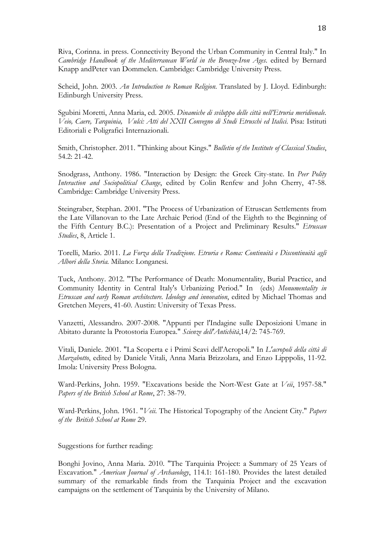Riva, Corinna. in press. Connectivity Beyond the Urban Community in Central Italy." In *Cambridge Handbook of the Mediterranean World in the Bronze-Iron Ages*. edited by Bernard Knapp andPeter van Dommelen. Cambridge: Cambridge University Press.

Scheid, John. 2003. *An Introduction to Roman Religion*. Translated by J. Lloyd. Edinburgh: Edinburgh University Press.

Sgubini Moretti, Anna Maria, ed. 2005. *Dinamiche di sviluppo delle città nell'Etruria meridionale. Veio, Caere, Tarquinia, Vulci: Atti del XXII Convegno di Studi Etruschi ed Italici*. Pisa: Istituti Editoriali e Poligrafici Internazionali.

Smith, Christopher. 2011. "Thinking about Kings." *Bulletin of the Institute of Classical Studies*, 54.2: 21-42.

Snodgrass, Anthony. 1986. "Interaction by Design: the Greek City-state. In *Peer Polity Interaction and Sociopolitical Change*, edited by Colin Renfew and John Cherry, 47-58. Cambridge: Cambridge University Press.

Steingraber, Stephan. 2001. "The Process of Urbanization of Etruscan Settlements from the Late Villanovan to the Late Archaic Period (End of the Eighth to the Beginning of the Fifth Century B.C.): Presentation of a Project and Preliminary Results." *Etruscan Studies*, 8, Article 1.

Torelli, Mario. 2011. *La Forza della Tradizione. Etruria e Roma: Continuità e Discontinuità agli Albori della Storia.* Milano: Longanesi.

Tuck, Anthony. 2012. "The Performance of Death: Monumentality, Burial Practice, and Community Identity in Central Italy's Urbanizing Period." In (eds) *Monumentality in Etruscan and early Roman architecture. Ideology and innovation*, edited by Michael Thomas and Gretchen Meyers, 41-60. Austin: University of Texas Press.

Vanzetti, Alessandro. 2007-2008. "Appunti per l'Indagine sulle Deposizioni Umane in Abitato durante la Protostoria Europea." *Scienze dell'Antichità*,14/2: 745-769.

Vitali, Daniele. 2001. "La Scoperta e i Primi Scavi dell'Acropoli." In *L'acropoli della città di Marzabotto*, edited by Daniele Vitali, Anna Maria Brizzolara, and Enzo Lipppolis, 11-92. Imola: University Press Bologna.

Ward-Perkins, John. 1959. "Excavations beside the Nort-West Gate at *Veii*, 1957-58." *Papers of the British School at Rome*, 27: 38-79.

Ward-Perkins, John. 1961. "*Veii*. The Historical Topography of the Ancient City." *Papers of the British School at Rome* 29.

Suggestions for further reading:

Bonghi Jovino, Anna Maria. 2010. "The Tarquinia Project: a Summary of 25 Years of Excavation." *American Journal of Archaeology*, 114.1: 161-180. Provides the latest detailed summary of the remarkable finds from the Tarquinia Project and the excavation campaigns on the settlement of Tarquinia by the University of Milano.